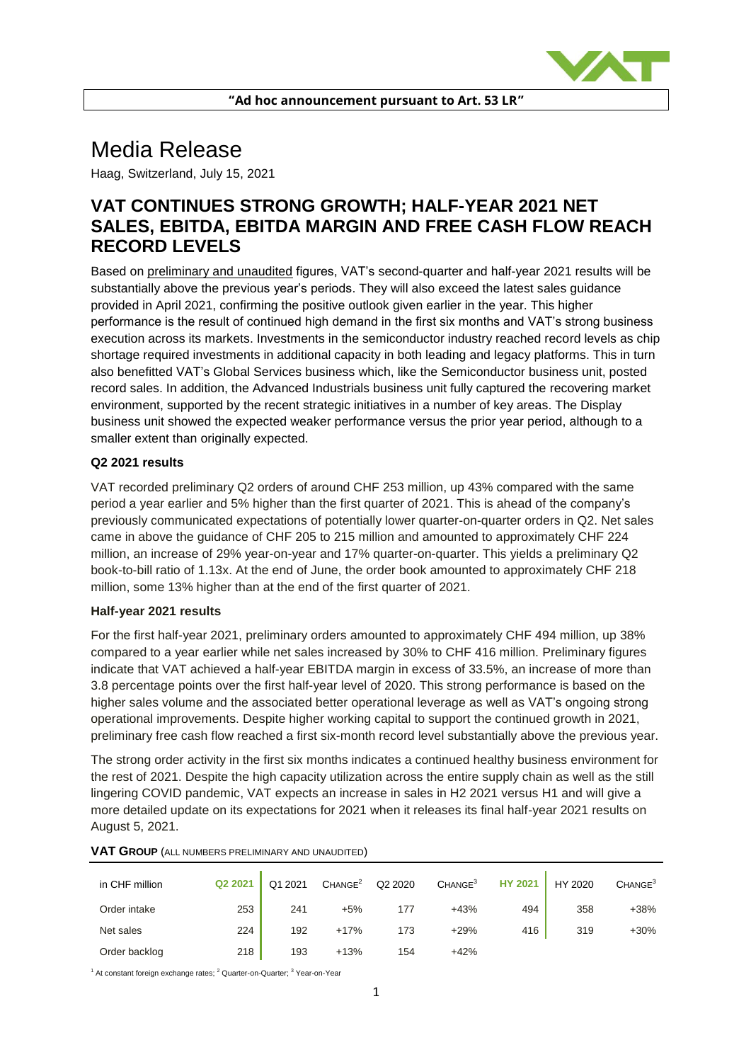

# Media Release

Haag, Switzerland, July 15, 2021

# **VAT CONTINUES STRONG GROWTH; HALF-YEAR 2021 NET SALES, EBITDA, EBITDA MARGIN AND FREE CASH FLOW REACH RECORD LEVELS**

Based on preliminary and unaudited figures, VAT's second-quarter and half-year 2021 results will be substantially above the previous year's periods. They will also exceed the latest sales guidance provided in April 2021, confirming the positive outlook given earlier in the year. This higher performance is the result of continued high demand in the first six months and VAT's strong business execution across its markets. Investments in the semiconductor industry reached record levels as chip shortage required investments in additional capacity in both leading and legacy platforms. This in turn also benefitted VAT's Global Services business which, like the Semiconductor business unit, posted record sales. In addition, the Advanced Industrials business unit fully captured the recovering market environment, supported by the recent strategic initiatives in a number of key areas. The Display business unit showed the expected weaker performance versus the prior year period, although to a smaller extent than originally expected.

## **Q2 2021 results**

VAT recorded preliminary Q2 orders of around CHF 253 million, up 43% compared with the same period a year earlier and 5% higher than the first quarter of 2021. This is ahead of the company's previously communicated expectations of potentially lower quarter-on-quarter orders in Q2. Net sales came in above the guidance of CHF 205 to 215 million and amounted to approximately CHF 224 million, an increase of 29% year-on-year and 17% quarter-on-quarter. This yields a preliminary Q2 book-to-bill ratio of 1.13x. At the end of June, the order book amounted to approximately CHF 218 million, some 13% higher than at the end of the first quarter of 2021.

#### **Half-year 2021 results**

For the first half-year 2021, preliminary orders amounted to approximately CHF 494 million, up 38% compared to a year earlier while net sales increased by 30% to CHF 416 million. Preliminary figures indicate that VAT achieved a half-year EBITDA margin in excess of 33.5%, an increase of more than 3.8 percentage points over the first half-year level of 2020. This strong performance is based on the higher sales volume and the associated better operational leverage as well as VAT's ongoing strong operational improvements. Despite higher working capital to support the continued growth in 2021, preliminary free cash flow reached a first six-month record level substantially above the previous year.

The strong order activity in the first six months indicates a continued healthy business environment for the rest of 2021. Despite the high capacity utilization across the entire supply chain as well as the still lingering COVID pandemic, VAT expects an increase in sales in H2 2021 versus H1 and will give a more detailed update on its expectations for 2021 when it releases its final half-year 2021 results on August 5, 2021.

| in CHF million | Q2 2021 | Q1 2021 | CHANGE <sup>2</sup> | Q2 2020 | CHANGE <sup>3</sup> | HY 2021 | HY 2020 | CHANGE <sup>3</sup> |
|----------------|---------|---------|---------------------|---------|---------------------|---------|---------|---------------------|
| Order intake   | 253     | 241     | $+5%$               | 177     | $+43%$              | 494     | 358     | $+38%$              |
| Net sales      | 224     | 192     | $+17%$              | 173     | $+29%$              | 416     | 319     | $+30%$              |
| Order backlog  | 218     | 193     | $+13%$              | 154     | $+42%$              |         |         |                     |

#### **VAT GROUP** (ALL NUMBERS PRELIMINARY AND UNAUDITED)

 $1$  At constant foreign exchange rates;  $2$  Quarter-on-Quarter;  $3$  Year-on-Year